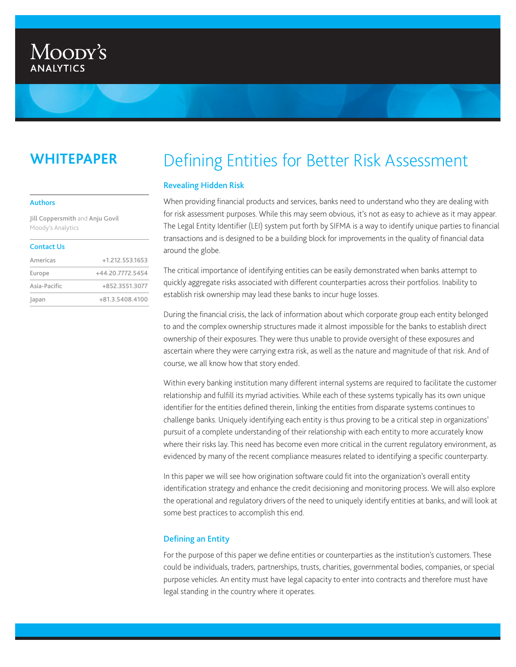# Moody's **ANALYTICS**

# **WHITEPAPER**

#### Authors

Jill Coppersmith and Anju Govil Moody's Analytics

#### Contact Us

| Americas     | +1.212.553.1653  |
|--------------|------------------|
| Europe       | +44.20.7772.5454 |
| Asia-Pacific | +852.3551.3077   |
| Japan        | +81.3.5408.4100  |

# Defining Entities for Better Risk Assessment

# Revealing Hidden Risk

When providing financial products and services, banks need to understand who they are dealing with for risk assessment purposes. While this may seem obvious, it's not as easy to achieve as it may appear. The Legal Entity Identifier (LEI) system put forth by SIFMA is a way to identify unique parties to financial transactions and is designed to be a building block for improvements in the quality of financial data around the globe.

The critical importance of identifying entities can be easily demonstrated when banks attempt to quickly aggregate risks associated with different counterparties across their portfolios. Inability to establish risk ownership may lead these banks to incur huge losses.

During the financial crisis, the lack of information about which corporate group each entity belonged to and the complex ownership structures made it almost impossible for the banks to establish direct ownership of their exposures. They were thus unable to provide oversight of these exposures and ascertain where they were carrying extra risk, as well as the nature and magnitude of that risk. And of course, we all know how that story ended.

Within every banking institution many different internal systems are required to facilitate the customer relationship and fulfill its myriad activities. While each of these systems typically has its own unique identifier for the entities defined therein, linking the entities from disparate systems continues to challenge banks. Uniquely identifying each entity is thus proving to be a critical step in organizations' pursuit of a complete understanding of their relationship with each entity to more accurately know where their risks lay. This need has become even more critical in the current regulatory environment, as evidenced by many of the recent compliance measures related to identifying a specific counterparty.

In this paper we will see how origination software could fit into the organization's overall entity identification strategy and enhance the credit decisioning and monitoring process. We will also explore the operational and regulatory drivers of the need to uniquely identify entities at banks, and will look at some best practices to accomplish this end.

# Defining an Entity

For the purpose of this paper we define entities or counterparties as the institution's customers. These could be individuals, traders, partnerships, trusts, charities, governmental bodies, companies, or special purpose vehicles. An entity must have legal capacity to enter into contracts and therefore must have legal standing in the country where it operates.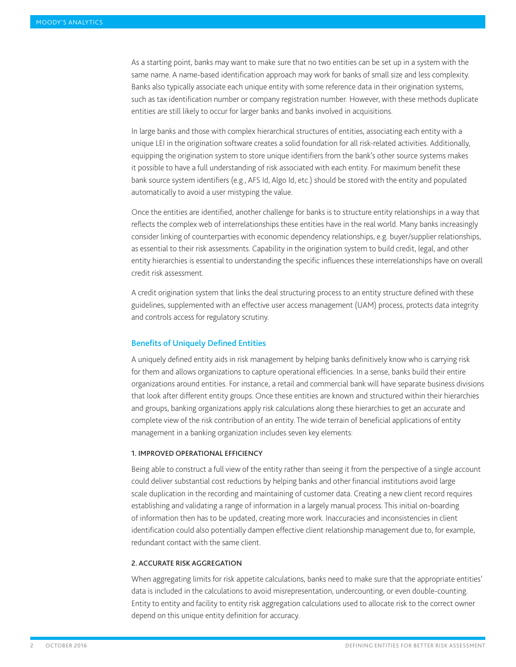As a starting point, banks may want to make sure that no two entities can be set up in a system with the same name. A name-based identification approach may work for banks of small size and less complexity. Banks also typically associate each unique entity with some reference data in their origination systems, such as tax identification number or company registration number. However, with these methods duplicate entities are still likely to occur for larger banks and banks involved in acquisitions.

In large banks and those with complex hierarchical structures of entities, associating each entity with a unique LEI in the origination software creates a solid foundation for all risk-related activities. Additionally, equipping the origination system to store unique identifiers from the bank's other source systems makes it possible to have a full understanding of risk associated with each entity. For maximum benefit these bank source system identifiers (e.g., AFS Id, Algo Id, etc.) should be stored with the entity and populated automatically to avoid a user mistyping the value.

Once the entities are identified, another challenge for banks is to structure entity relationships in a way that reflects the complex web of interrelationships these entities have in the real world. Many banks increasingly consider linking of counterparties with economic dependency relationships, e.g. buyer/supplier relationships, as essential to their risk assessments. Capability in the origination system to build credit, legal, and other entity hierarchies is essential to understanding the specific influences these interrelationships have on overall credit risk assessment.

A credit origination system that links the deal structuring process to an entity structure defined with these guidelines, supplemented with an effective user access management (UAM) process, protects data integrity and controls access for regulatory scrutiny.

# Benefits of Uniquely Defined Entities

A uniquely defined entity aids in risk management by helping banks definitively know who is carrying risk for them and allows organizations to capture operational efficiencies. In a sense, banks build their entire organizations around entities. For instance, a retail and commercial bank will have separate business divisions that look after different entity groups. Once these entities are known and structured within their hierarchies and groups, banking organizations apply risk calculations along these hierarchies to get an accurate and complete view of the risk contribution of an entity. The wide terrain of beneficial applications of entity management in a banking organization includes seven key elements:

### 1. Improved operational efficiency

Being able to construct a full view of the entity rather than seeing it from the perspective of a single account could deliver substantial cost reductions by helping banks and other financial institutions avoid large scale duplication in the recording and maintaining of customer data. Creating a new client record requires establishing and validating a range of information in a largely manual process. This initial on-boarding of information then has to be updated, creating more work. Inaccuracies and inconsistencies in client identification could also potentially dampen effective client relationship management due to, for example, redundant contact with the same client.

#### 2. Accurate risk aggregation

When aggregating limits for risk appetite calculations, banks need to make sure that the appropriate entities' data is included in the calculations to avoid misrepresentation, undercounting, or even double-counting. Entity to entity and facility to entity risk aggregation calculations used to allocate risk to the correct owner depend on this unique entity definition for accuracy.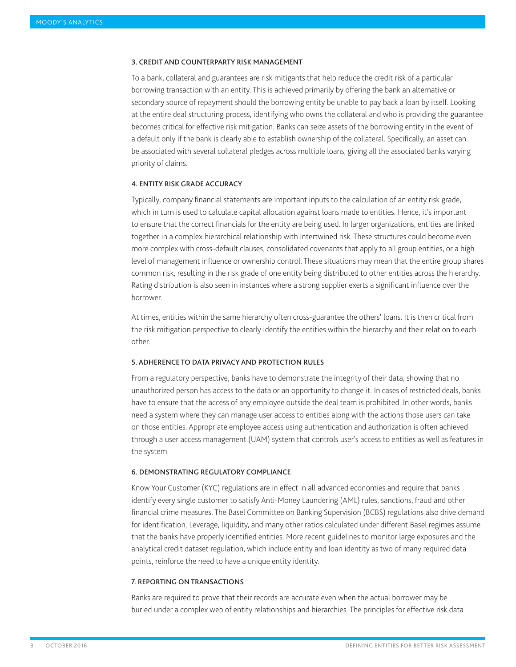#### 3. Credit and counterparty risk management

To a bank, collateral and guarantees are risk mitigants that help reduce the credit risk of a particular borrowing transaction with an entity. This is achieved primarily by offering the bank an alternative or secondary source of repayment should the borrowing entity be unable to pay back a loan by itself. Looking at the entire deal structuring process, identifying who owns the collateral and who is providing the guarantee becomes critical for effective risk mitigation. Banks can seize assets of the borrowing entity in the event of a default only if the bank is clearly able to establish ownership of the collateral. Specifically, an asset can be associated with several collateral pledges across multiple loans, giving all the associated banks varying priority of claims.

#### 4. Entity risk grade accuracy

Typically, company financial statements are important inputs to the calculation of an entity risk grade, which in turn is used to calculate capital allocation against loans made to entities. Hence, it's important to ensure that the correct financials for the entity are being used. In larger organizations, entities are linked together in a complex hierarchical relationship with intertwined risk. These structures could become even more complex with cross-default clauses, consolidated covenants that apply to all group entities, or a high level of management influence or ownership control. These situations may mean that the entire group shares common risk, resulting in the risk grade of one entity being distributed to other entities across the hierarchy. Rating distribution is also seen in instances where a strong supplier exerts a significant influence over the borrower.

At times, entities within the same hierarchy often cross-guarantee the others' loans. It is then critical from the risk mitigation perspective to clearly identify the entities within the hierarchy and their relation to each other.

#### 5. Adherence to data privacy and protection rules

From a regulatory perspective, banks have to demonstrate the integrity of their data, showing that no unauthorized person has access to the data or an opportunity to change it. In cases of restricted deals, banks have to ensure that the access of any employee outside the deal team is prohibited. In other words, banks need a system where they can manage user access to entities along with the actions those users can take on those entities. Appropriate employee access using authentication and authorization is often achieved through a user access management (UAM) system that controls user's access to entities as well as features in the system.

# 6. Demonstrating regulatory compliance

Know Your Customer (KYC) regulations are in effect in all advanced economies and require that banks identify every single customer to satisfy Anti-Money Laundering (AML) rules, sanctions, fraud and other financial crime measures. The Basel Committee on Banking Supervision (BCBS) regulations also drive demand for identification. Leverage, liquidity, and many other ratios calculated under different Basel regimes assume that the banks have properly identified entities. More recent guidelines to monitor large exposures and the analytical credit dataset regulation, which include entity and loan identity as two of many required data points, reinforce the need to have a unique entity identity.

#### 7. Reporting on transactions

Banks are required to prove that their records are accurate even when the actual borrower may be buried under a complex web of entity relationships and hierarchies. The principles for effective risk data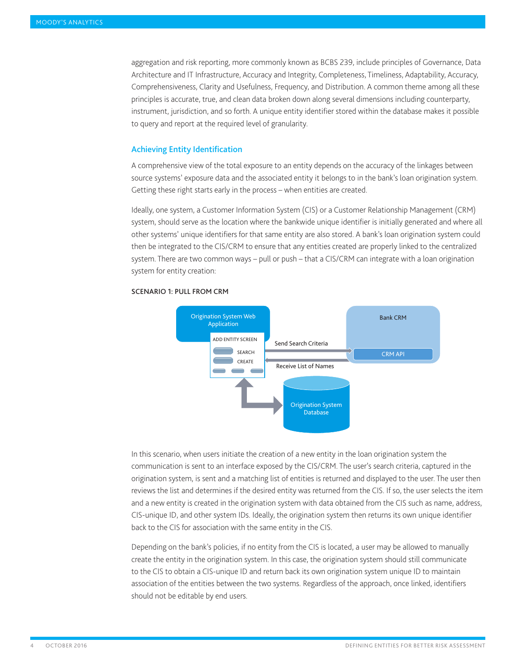aggregation and risk reporting, more commonly known as BCBS 239, include principles of Governance, Data Architecture and IT Infrastructure, Accuracy and Integrity, Completeness, Timeliness, Adaptability, Accuracy, Comprehensiveness, Clarity and Usefulness, Frequency, and Distribution. A common theme among all these principles is accurate, true, and clean data broken down along several dimensions including counterparty, instrument, jurisdiction, and so forth. A unique entity identifier stored within the database makes it possible to query and report at the required level of granularity.

# Achieving Entity Identification

A comprehensive view of the total exposure to an entity depends on the accuracy of the linkages between source systems' exposure data and the associated entity it belongs to in the bank's loan origination system. Getting these right starts early in the process – when entities are created.

Ideally, one system, a Customer Information System (CIS) or a Customer Relationship Management (CRM) system, should serve as the location where the bankwide unique identifier is initially generated and where all other systems' unique identifiers for that same entity are also stored. A bank's loan origination system could then be integrated to the CIS/CRM to ensure that any entities created are properly linked to the centralized system. There are two common ways – pull or push – that a CIS/CRM can integrate with a loan origination system for entity creation:



## Scenario 1: Pull from CRM

In this scenario, when users initiate the creation of a new entity in the loan origination system the communication is sent to an interface exposed by the CIS/CRM. The user's search criteria, captured in the origination system, is sent and a matching list of entities is returned and displayed to the user. The user then reviews the list and determines if the desired entity was returned from the CIS. If so, the user selects the item and a new entity is created in the origination system with data obtained from the CIS such as name, address, CIS-unique ID, and other system IDs. Ideally, the origination system then returns its own unique identifier back to the CIS for association with the same entity in the CIS.

Depending on the bank's policies, if no entity from the CIS is located, a user may be allowed to manually create the entity in the origination system. In this case, the origination system should still communicate to the CIS to obtain a CIS-unique ID and return back its own origination system unique ID to maintain association of the entities between the two systems. Regardless of the approach, once linked, identifiers should not be editable by end users.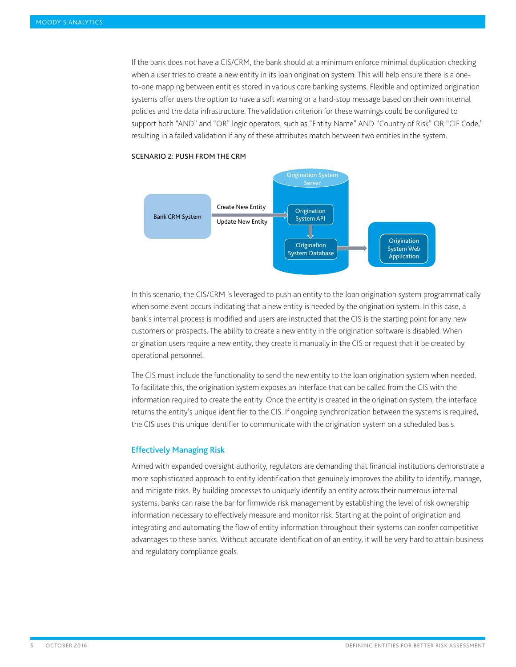If the bank does not have a CIS/CRM, the bank should at a minimum enforce minimal duplication checking when a user tries to create a new entity in its loan origination system. This will help ensure there is a oneto-one mapping between entities stored in various core banking systems. Flexible and optimized origination systems offer users the option to have a soft warning or a hard-stop message based on their own internal policies and the data infrastructure. The validation criterion for these warnings could be configured to support both "AND" and "OR" logic operators, such as "Entity Name" AND "Country of Risk" OR "CIF Code," resulting in a failed validation if any of these attributes match between two entities in the system.



#### Scenario 2: Push from the CRM

In this scenario, the CIS/CRM is leveraged to push an entity to the loan origination system programmatically when some event occurs indicating that a new entity is needed by the origination system. In this case, a bank's internal process is modified and users are instructed that the CIS is the starting point for any new customers or prospects. The ability to create a new entity in the origination software is disabled. When origination users require a new entity, they create it manually in the CIS or request that it be created by operational personnel.

The CIS must include the functionality to send the new entity to the loan origination system when needed. To facilitate this, the origination system exposes an interface that can be called from the CIS with the information required to create the entity. Once the entity is created in the origination system, the interface returns the entity's unique identifier to the CIS. If ongoing synchronization between the systems is required, the CIS uses this unique identifier to communicate with the origination system on a scheduled basis.

# Effectively Managing Risk

Armed with expanded oversight authority, regulators are demanding that financial institutions demonstrate a more sophisticated approach to entity identification that genuinely improves the ability to identify, manage, and mitigate risks. By building processes to uniquely identify an entity across their numerous internal systems, banks can raise the bar for firmwide risk management by establishing the level of risk ownership information necessary to effectively measure and monitor risk. Starting at the point of origination and integrating and automating the flow of entity information throughout their systems can confer competitive advantages to these banks. Without accurate identification of an entity, it will be very hard to attain business and regulatory compliance goals.